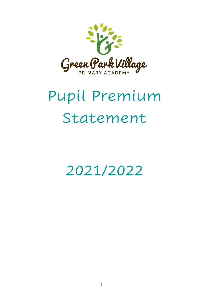

# Pupil Premium Statement

2021/2022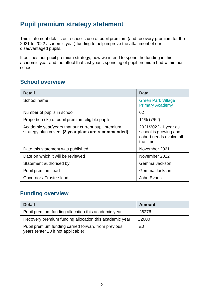# **Pupil premium strategy statement**

This statement details our school's use of pupil premium (and recovery premium for the 2021 to 2022 academic year) funding to help improve the attainment of our disadvantaged pupils.

It outlines our pupil premium strategy, how we intend to spend the funding in this academic year and the effect that last year's spending of pupil premium had within our school.

## **School overview**

| <b>Detail</b>                                                                                             | <b>Data</b>                                                                         |
|-----------------------------------------------------------------------------------------------------------|-------------------------------------------------------------------------------------|
| School name                                                                                               | <b>Green Park Village</b><br><b>Primary Academy</b>                                 |
| Number of pupils in school                                                                                | 62                                                                                  |
| Proportion (%) of pupil premium eligible pupils                                                           | 11% (7/62)                                                                          |
| Academic year/years that our current pupil premium<br>strategy plan covers (3 year plans are recommended) | 2021/2022-1 year as<br>school is growing and<br>cohort needs evolve all<br>the time |
| Date this statement was published                                                                         | November 2021                                                                       |
| Date on which it will be reviewed                                                                         | November 2022                                                                       |
| Statement authorised by                                                                                   | Gemma Jackson                                                                       |
| Pupil premium lead                                                                                        | Gemma Jackson                                                                       |
| Governor / Trustee lead                                                                                   | John Evans                                                                          |

## **Funding overview**

| <b>Detail</b>                                                                             | Amount |
|-------------------------------------------------------------------------------------------|--------|
| Pupil premium funding allocation this academic year                                       | £6276  |
| Recovery premium funding allocation this academic year                                    | £2000  |
| Pupil premium funding carried forward from previous<br>years (enter £0 if not applicable) | £0     |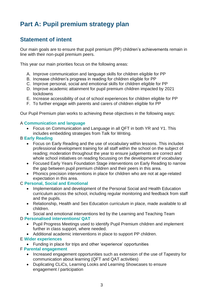# **Part A: Pupil premium strategy plan**

## **Statement of intent**

Our main goals are to ensure that pupil premium (PP) children's achievements remain in line with their non-pupil premium peers.

This year our main priorities focus on the following areas:

- A. Improve communication and language skills for children eligible for PP
- B. Increase children's progress in reading for children eligible for PP
- C. Improve personal, social and emotional skills for children eligible for PP
- D. Improve academic attainment for pupil premium children impacted by 2021 lockdowns
- E. Increase accessibility of out of school experiences for children eligible for PP
- F. To further engage with parents and carers of children eligible for PP

Our Pupil Premium plan works to achieving these objectives in the following ways:

#### A **Communication and language**

• Focus on Communication and Language in all QFT in both YR and Y1. This includes embedding strategies from Talk for Writing.

#### B **Early Reading**

- Focus on Early Reading and the use of vocabulary within lessons. This includes professional development training for all staff within the school on the subject of reading; moderation throughout the year to ensure judgements are correct and whole school initiatives on reading focussing on the development of vocabulary
- Focused Early Years Foundation Stage interventions on Early Reading to narrow the gap between pupil premium children and their peers in this area.
- Phonics precision interventions in place for children who are not at age-related expectation in this area.

#### C **Personal, Social and Emotional**

- Implementation and development of the Personal Social and Health Education curriculum across the school, including regular monitoring and feedback from staff and the pupils.
- Relationship, Health and Sex Education curriculum in place, made available to all children.
- Social and emotional interventions led by the Learning and Teaching Team

#### D **Personalised interventions/ QAT**

- Pupil Progress Meetings used to identify Pupil Premium children and implement further in class support, where needed.
- Additional academic interventions in place to support PP children.

#### E **Wider experiences**

• Funding in place for trips and other 'experience' opportunities

#### F **Parental engagement**

- Increased engagement opportunities such as extension of the use of Tapestry for communication about learning (QFT and QAT activities)
- Duplicating CLiCs, Learning Looks and Learning Showcases to ensure engagement / participation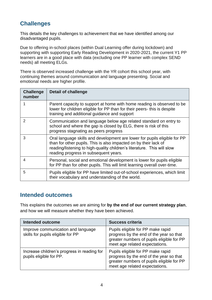## **Challenges**

This details the key challenges to achievement that we have identified among our disadvantaged pupils.

Due to offering in-school places (within Dual Learning offer during lockdown) and supporting with supporting Early Reading Development in 2020-2021, the current Y1 PP learners are in a good place with data (excluding one PP learner with complex SEND needs) all meeting ELGs.

There is observed increased challenge with the YR cohort this school year, with continuing themes around communication and language presenting. Social and emotional needs are higher profile.

| <b>Challenge</b><br>number | <b>Detail of challenge</b>                                                                                                                                                                                                                                        |
|----------------------------|-------------------------------------------------------------------------------------------------------------------------------------------------------------------------------------------------------------------------------------------------------------------|
|                            | Parent capacity to support at home with home reading is observed to be<br>lower for children eligible for PP than for their peers- this is despite<br>training and additional guidance and support                                                                |
| $\mathcal{P}$              | Communication and language below age related standard on entry to<br>school and where the gap is closed by ELG, there is risk of this<br>progress stagnating as peers progress                                                                                    |
| 3                          | Oral language skills and development are lower for pupils eligible for PP<br>than for other pupils. This is also impacted on by their lack of<br>reading/listening to high-quality children's literature. This will slow<br>reading progress in subsequent years. |
| 4                          | Personal, social and emotional development is lower for pupils eligible<br>for PP than for other pupils. This will limit learning overall over-time.                                                                                                              |
| 5                          | Pupils eligible for PP have limited out-of-school experiences, which limit<br>their vocabulary and understanding of the world.                                                                                                                                    |

## **Intended outcomes**

This explains the outcomes we are aiming for **by the end of our current strategy plan**, and how we will measure whether they have been achieved.

| <b>Intended outcome</b>                                                 | <b>Success criteria</b>                                                                                                                                     |
|-------------------------------------------------------------------------|-------------------------------------------------------------------------------------------------------------------------------------------------------------|
| Improve communication and language<br>skills for pupils eligible for PP | Pupils eligible for PP make rapid<br>progress by the end of the year so that<br>greater numbers of pupils eligible for PP<br>meet age related expectations. |
| Increase children's progress in reading for<br>pupils eligible for PP.  | Pupils eligible for PP make rapid<br>progress by the end of the year so that<br>greater numbers of pupils eligible for PP<br>meet age related expectations. |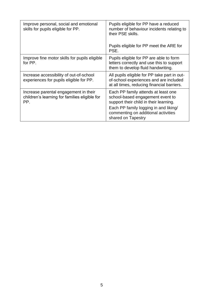| Improve personal, social and emotional<br>skills for pupils eligible for PP.                  | Pupils eligible for PP have a reduced<br>number of behaviour incidents relating to<br>their PSE skills.<br>Pupils eligible for PP meet the ARE for |  |  |  |  |
|-----------------------------------------------------------------------------------------------|----------------------------------------------------------------------------------------------------------------------------------------------------|--|--|--|--|
|                                                                                               | PSE.                                                                                                                                               |  |  |  |  |
| Improve fine motor skills for pupils eligible<br>for PP.                                      | Pupils eligible for PP are able to form<br>letters correctly and use this to support<br>them to develop fluid handwriting.                         |  |  |  |  |
| Increase accessibility of out-of-school<br>experiences for pupils eligible for PP.            | All pupils eligible for PP take part in out-<br>of-school experiences and are included<br>at all times, reducing financial barriers.               |  |  |  |  |
| Increase parental engagement in their<br>children's learning for families eligible for<br>PP. | Each PP family attends at least one<br>school-based engagement event to<br>support their child in their learning.                                  |  |  |  |  |
|                                                                                               | Each PP family logging in and liking/<br>commenting on additional activities<br>shared on Tapestry                                                 |  |  |  |  |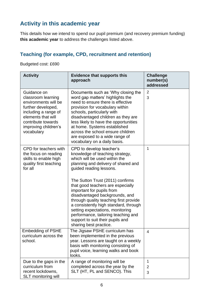## **Activity in this academic year**

This details how we intend to spend our pupil premium (and recovery premium funding) **this academic year** to address the challenges listed above.

## **Teaching (for example, CPD, recruitment and retention)**

Budgeted cost: £690

| <b>Activity</b>                                                                                                                                                                           | <b>Evidence that supports this</b><br>approach                                                                                                                                                                                                                                                                                                                                                                                                                                                                                     | <b>Challenge</b><br>number(s)<br>addressed |
|-------------------------------------------------------------------------------------------------------------------------------------------------------------------------------------------|------------------------------------------------------------------------------------------------------------------------------------------------------------------------------------------------------------------------------------------------------------------------------------------------------------------------------------------------------------------------------------------------------------------------------------------------------------------------------------------------------------------------------------|--------------------------------------------|
| Guidance on<br>classroom learning<br>environments will be<br>further developed,<br>including a range of<br>elements that will<br>contribute towards<br>improving children's<br>vocabulary | Documents such as 'Why closing the<br>word gap matters' highlights the<br>need to ensure there is effective<br>provision for vocabulary within<br>schools, particularly with<br>disadvantaged children as they are<br>less likely to have the opportunities<br>at home. Systems established<br>across the school ensure children<br>are exposed to a wide range of<br>vocabulary on a daily basis.                                                                                                                                 | $\overline{2}$<br>3                        |
| CPD for teachers with<br>the focus on reading<br>skills to enable high<br>quality first teaching<br>for all                                                                               | CPD to develop teacher's<br>knowledge of teaching strategy,<br>which will be used within the<br>planning and delivery of shared and<br>guided reading lessons.<br>The Sutton Trust (2011) confirms<br>that good teachers are especially<br>important for pupils from<br>disadvantaged backgrounds, and<br>through quality teaching first provide<br>a consistently high standard, through<br>setting expectations, monitoring<br>performance, tailoring teaching and<br>support to suit their pupils and<br>sharing best practice. | 1                                          |
| <b>Embedding of PSHE</b><br>curriculum across the<br>school.                                                                                                                              | The Jigsaw PSHE curriculum has<br>been implemented in the previous<br>year. Lessons are taught on a weekly<br>basis with monitoring consisting of<br>pupil voice, learning walks and book<br>looks.                                                                                                                                                                                                                                                                                                                                | 4                                          |
| Due to the gaps in the<br>curriculum from<br>recent lockdowns,<br><b>SLT</b> monitoring will                                                                                              | A range of monitoring will be<br>completed across the year by the<br>SLT (HT, PL and SENCO). This                                                                                                                                                                                                                                                                                                                                                                                                                                  | 1<br>2<br>3                                |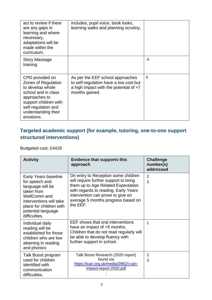| act to review if there<br>are any gaps in<br>learning and where<br>necessary,<br>adaptations will be<br>made within the<br>curriculum.                                                 | includes, pupil voice, book looks,<br>learning walks and planning scrutiny,                                                              |                |
|----------------------------------------------------------------------------------------------------------------------------------------------------------------------------------------|------------------------------------------------------------------------------------------------------------------------------------------|----------------|
| <b>Story Massage</b><br>training                                                                                                                                                       |                                                                                                                                          | 4              |
| CPD provided on<br>Zones of Regulation<br>to develop whole<br>school and in class<br>approaches to<br>support children with<br>self-regulation and<br>understanding their<br>emotions. | As per the EEF school approaches<br>to self-regulation have a low cost but<br>a high impact with the potential of $+7$<br>months gained. | $\overline{4}$ |

## **Targeted academic support (for example, tutoring, one-to-one support structured interventions)**

Budgeted cost: £4418

| <b>Activity</b>                                                                                                                                                                       | <b>Evidence that supports this</b><br>approach                                                                                                                                                                                                    | <b>Challenge</b><br>number(s)<br>addressed |  |  |  |
|---------------------------------------------------------------------------------------------------------------------------------------------------------------------------------------|---------------------------------------------------------------------------------------------------------------------------------------------------------------------------------------------------------------------------------------------------|--------------------------------------------|--|--|--|
| Early Years baseline<br>for speech and<br>language will be<br>taken from<br>WellComm and<br>interventions will take<br>place for children with<br>potential language<br>difficulties. | On entry to Reception some children<br>will require further support to bring<br>them up to Age Related Expectation<br>with regards to reading. Early Years<br>intervention can prove to give on<br>average 5 months progress based on<br>the EEF. | 2<br>3                                     |  |  |  |
| Individual daily<br>reading will be<br>established for those<br>children who are low<br>attaining in reading<br>and phonics                                                           | EEF shows that oral interventions<br>have an impact of +5 months.<br>Children that do not read regularly will<br>be able to develop fluency with<br>further support in school.                                                                    | 1                                          |  |  |  |
| Talk Boost program<br>used for children<br>identified with<br>communication<br>difficulties.                                                                                          | Talk Boost Research (2020 report)<br>found via<br>https://ican.org.uk/media/2962/i-can-<br>impact-report-2020.pdf                                                                                                                                 | $\overline{2}$<br>3                        |  |  |  |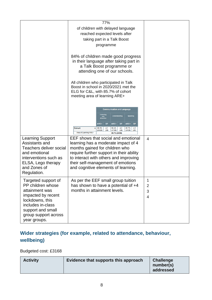|                                                                                                                                                                                       | 77%                                                                                                                                                                                                                                                                                                               |                                            |
|---------------------------------------------------------------------------------------------------------------------------------------------------------------------------------------|-------------------------------------------------------------------------------------------------------------------------------------------------------------------------------------------------------------------------------------------------------------------------------------------------------------------|--------------------------------------------|
|                                                                                                                                                                                       | of children with delayed language<br>reached expected levels after                                                                                                                                                                                                                                                |                                            |
|                                                                                                                                                                                       | taking part in a Talk Boost<br>programme                                                                                                                                                                                                                                                                          |                                            |
|                                                                                                                                                                                       | 84% of children made good progress<br>in their language after taking part in<br>a Talk Boost programme or<br>attending one of our schools.                                                                                                                                                                        |                                            |
|                                                                                                                                                                                       | All children who participated in Talk<br>Boost in school in 2020/2021 met the<br>ELG for C&L, with 85.7% of cohort<br>meeting area of learning ARE+                                                                                                                                                               |                                            |
|                                                                                                                                                                                       | <b>Communication and Language</b><br><b>Understanding</b><br><b>SP</b><br><b>ARE+</b><br><b>ARE+</b><br><b>SP</b><br><b>ARE+</b><br><b>SP</b><br><b>Cohort</b><br>89.3%<br>4.1<br>96.4%<br>4.2<br>85.7%<br>4.2<br>(25/28)<br>(28)<br>(27/28)<br>(28)<br>(24/28)<br>(28)<br>Area of Learning ARE+<br>85.7% (24/28) |                                            |
| <b>Learning Support</b><br>Assistants and<br>Teachers deliver social<br>and emotional<br>interventions such as<br>ELSA, Lego therapy<br>and Zones of<br>Regulation.                   | EEF shows that social and emotional<br>learning has a moderate impact of 4<br>months gained for children who<br>require further support in their ability<br>to interact with others and improving<br>their self-management of emotions<br>and cognitive elements of learning.                                     | 4                                          |
| Targeted support of<br>PP children whose<br>attainment was<br>impacted by recent<br>lockdowns, this<br>includes in-class<br>support and small<br>group support across<br>year groups. | As per the EEF small group tuition<br>has shown to have a potential of +4<br>months in attainment levels.                                                                                                                                                                                                         | 1<br>$\overline{2}$<br>3<br>$\overline{4}$ |

## **Wider strategies (for example, related to attendance, behaviour, wellbeing)**

### Budgeted cost: £3168

| <b>Activity</b> | Evidence that supports this approach | <b>Challenge</b><br>number(s)<br>addressed |
|-----------------|--------------------------------------|--------------------------------------------|
|-----------------|--------------------------------------|--------------------------------------------|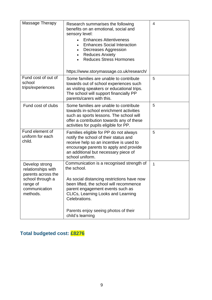| Research summarises the following<br>benefits on an emotional, social and<br>sensory level:<br><b>Enhances Attentiveness</b><br><b>Enhances Social Interaction</b><br>$\bullet$<br>Decreases Aggression<br><b>Reduces Anxiety</b><br><b>Reduces Stress Hormones</b><br>https://www.storymassage.co.uk/research/ | 4                |
|-----------------------------------------------------------------------------------------------------------------------------------------------------------------------------------------------------------------------------------------------------------------------------------------------------------------|------------------|
| Some families are unable to contribute<br>towards out of school experiences such<br>as visiting speakers or educational trips.<br>The school will support financially PP<br>parents/carers with this.                                                                                                           | 5                |
| Some families are unable to contribute<br>towards in-school enrichment activities<br>such as sports lessons. The school will<br>offer a contribution towards any of these<br>activities for pupils eligible for PP.                                                                                             | 5                |
| Families eligible for PP do not always<br>notify the school of their status and<br>receive help so an incentive is used to<br>encourage parents to apply and provide<br>an additional but necessary piece of<br>school uniform.                                                                                 | 5                |
| Communication is a recognised strength of<br>the school.<br>As social distancing restrictions have now<br>been lifted, the school will recommence<br>parent engagement events such as<br>CLICs, Learning Looks and Learning<br>Celebrations.<br>Parents enjoy seeing photos of their                            | 1                |
|                                                                                                                                                                                                                                                                                                                 | child's learning |

## **Total budgeted cost: £8276**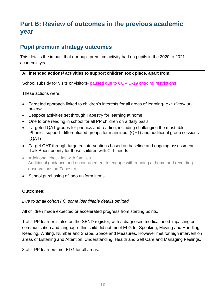# **Part B: Review of outcomes in the previous academic year**

## **Pupil premium strategy outcomes**

This details the impact that our pupil premium activity had on pupils in the 2020 to 2021 academic year.

#### **All intended actions/ activities to support children took place, apart from:**

School subsidy for visits or visitors- paused due to COVID-19 ongoing restrictions

These actions were:

- Targeted approach linked to children's interests for all areas of learning*- e.g. dinosaurs, animals*
- Bespoke activities set through Tapestry for learning at home
- One to one reading in school for all PP children on a daily basis
- Targeted QAT groups for phonics and reading, including challenging the most able Phonics support- differentiated groups for main input (QFT) and additional group sessions (QAT)
- Target QAT through targeted interventions based on baseline and ongoing assessment Talk Boost priority for those children with CLL needs
- Additional check ins with families Additional guidance and encouragement to engage with reading at home and recording observations on Tapestry
- School purchasing of logo uniform items

#### **Outcomes:**

*Due to small cohort (4), some identifiable details omitted*

All children made expected or accelerated progress from starting points.

1 of 4 PP learner is also on the SEND register, with a diagnosed medical need impacting on communication and language -this child did not meet ELG for Speaking, Moving and Handling, Reading, Writing, Number and Shape, Space and Measures. However met for high intervention areas of Listening and Attention, Understanding, Health and Self Care and Managing Feelings.

3 of 4 PP learners met ELG for all areas.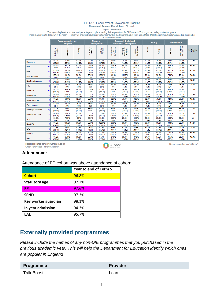|                                                                                                                                                                                             |          |                            |                                                                                                                                       |                                                                                                                                                  | EYFS12   Good Level of Development Tracking |                         | Reception   Summer End of Term   All Pupils         |                                       |                         |                    |                  |                  |                              |                                   |
|---------------------------------------------------------------------------------------------------------------------------------------------------------------------------------------------|----------|----------------------------|---------------------------------------------------------------------------------------------------------------------------------------|--------------------------------------------------------------------------------------------------------------------------------------------------|---------------------------------------------|-------------------------|-----------------------------------------------------|---------------------------------------|-------------------------|--------------------|------------------|------------------|------------------------------|-----------------------------------|
| There is an option to drill down in the report (+) which will show individual pupil's attainment within the Summer End of Term and a Mode (Most frequent result) column based on the number |          |                            |                                                                                                                                       | This report displays the number and percentage of pupils achieving their expectations for GLD Aspects. This is grouped by key contextual groups. |                                             |                         | <b>Report Description:</b><br>of aspects displayed. |                                       |                         |                    |                  |                  |                              |                                   |
|                                                                                                                                                                                             |          |                            | <b>Physical</b><br>Personal, Social and<br><b>Communication and</b><br><b>Emotional Development</b><br>Language<br><b>Development</b> |                                                                                                                                                  |                                             |                         | Literacy                                            |                                       |                         | <b>Mathematics</b> |                  |                  |                              |                                   |
|                                                                                                                                                                                             |          | Listening and<br>Attention | Understanding                                                                                                                         | Speaking                                                                                                                                         | Moving and<br>Handling                      | Health and<br>Self-Care | Self-Confider<br>and<br>Self-Awaren                 | Managing<br>Feelings and<br>Behaviour | Making<br>Relationships | Reading            | Writing          | Numbers          | Shape, Space<br>and Measures | <b>On Track for</b><br><b>GLD</b> |
| Reception                                                                                                                                                                                   | $(+)$    | 86.2%<br>(25/29)           | 96.6%<br>(28/29)                                                                                                                      | 82.8%<br>(24/29)                                                                                                                                 | 86.2%<br>(25/29)                            | 93.1%<br>(27/29)        | 82.8%<br>(24/29)                                    | 79.3%<br>(23/29)                      | 82.8%<br>(24/29)        | 82.8%<br>(24/29)   | 79.3%<br>(23/29) | 82.8%<br>(24/29) | 86.2%<br>(25/29)             | 72.4%                             |
| <b>Boys</b>                                                                                                                                                                                 | $(+)$    | 69.2%<br>(9/13)            | 92.3%<br>(12/13)                                                                                                                      | 61.5%<br>(8/13)                                                                                                                                  | 84.6%<br>(11/13)                            | 84.6%<br>(11/13)        | 76.9%<br>(10/13)                                    | 69.2%<br>(9/13)                       | 76.9%<br>(10/13)        | 84.6%<br>(11/13)   | 76.9%<br>(10/13) | 84.6%<br>(11/13) | 84.6%<br>(11/13)             | 61.5%                             |
| Girls                                                                                                                                                                                       | $^{(+)}$ | 100.0%<br>(16/16)          | 100.0%<br>(16/16)                                                                                                                     | 100.0%<br>(16/16)                                                                                                                                | 87.5%<br>(14/16)                            | 100.0%<br>(16/16)       | 87.5%<br>(14/16)                                    | 87.5%<br>(14/16)                      | 87.5%<br>(14/16)        | 81.3%<br>(13/16)   | 81.3%<br>(13/16) | 81.3%<br>(13/16) | 87.5%<br>(14/16)             | 81.3%                             |
| Disadvantaged                                                                                                                                                                               | $(+)$    | 100.0%<br>(4/4)            | 100.0%<br>(4/4)                                                                                                                       | 75.0%<br>(3/4)                                                                                                                                   | 75.0%<br>(3/4)                              | 100.0%<br>(4/4)         | 100.0%<br>(4/4)                                     | 100.0%<br>(4/4)                       | 100.0%<br>(4/4)         | 75.0%<br>(3/4)     | 75.0%<br>(3/4)   | 75.0%<br>(3/4)   | 75.0%<br>(3/4)               | 75.0%                             |
| Non Disadvantaged                                                                                                                                                                           | $(+)$    | 84.0%<br>(21/25)           | 96.0%<br>(24/25)                                                                                                                      | 84.0%<br>(21/25)                                                                                                                                 | 88.0%<br>(22/25)                            | 92.0%<br>(23/25)        | 80.0%<br>(20/25)                                    | 76.0%<br>(19/25)                      | 80.0%<br>(20/25)        | 84.0%<br>(21/25)   | 80.0%<br>(20/25) | 84.0%<br>(21/25) | 88.0%<br>(22/25)             | 72.0%                             |
| <b>FSM</b>                                                                                                                                                                                  | $(+)$    | 100.0%<br>(4/4)            | 100.0%<br>(4/4)                                                                                                                       | 75.0%<br>(3/4)                                                                                                                                   | 75.0%<br>(3/4)                              | 100.0%<br>(4/4)         | 100.0%<br>(4/4)                                     | 100.0%<br>(4/4)                       | 100.0%<br>(4/4)         | 75.0%<br>(3/4)     | 75.0%<br>(3/4)   | 75.0%<br>(3/4)   | 75.0%<br>(3/4)               | 75.0%                             |
| Non FSM                                                                                                                                                                                     | $(+)$    | 84.0%<br>(21/25)           | 96.0%<br>(24/25)                                                                                                                      | 84.0%<br>(21/25)                                                                                                                                 | 88.0%<br>(22/25)                            | 92.0%<br>(23/25)        | 80.0%<br>(20/25)                                    | 76.0%<br>(19/25)                      | 80.0%<br>(20/25)        | 84.0%<br>(21/25)   | 80.0%<br>(20/25) | 84.0%<br>(21/25) | 88.0%<br>(22/25)             | 72.0%                             |
| Non In Care                                                                                                                                                                                 | $(+)$    | 86.2%<br>(25/29)           | 96.6%<br>(28/29)                                                                                                                      | 82.8%<br>(24/29)                                                                                                                                 | 86.2%<br>(25/29)                            | 93.1%<br>(27/29)        | 82.8%<br>(24/29)                                    | 79.3%<br>(23/29)                      | 82.8%<br>(24/29)        | 82.8%<br>(24/29)   | 79.3%<br>(23/29) | 82.8%<br>(24/29) | 86.2%<br>(25/29)             | 72.4%                             |
| Non Ever InCare                                                                                                                                                                             | $(+)$    | 86.2%<br>(25/29)           | 96.6%<br>(28/29)                                                                                                                      | 82.8%<br>(24/29)                                                                                                                                 | 86.2%<br>(25/29)                            | 93.1%<br>(27/29)        | 82.8%<br>(24/29)                                    | 79.3%<br>(23/29)                      | 82.8%<br>(24/29)        | 82.8%<br>(24/29)   | 79.3%<br>(23/29) | 82.8%<br>(24/29) | 86.2%<br>(25/29)             | 72.4%                             |
| <b>Pupil Premium</b>                                                                                                                                                                        | $(+)$    | 100.0%<br>(4/4)            | 100.0%<br>(4/4)                                                                                                                       | 75.0%<br>(3/4)                                                                                                                                   | 75.0%<br>(3/4)                              | 100.0%<br>(4/4)         | 100.0%<br>(4/4)                                     | 100.0%<br>(4/4)                       | 100.0%<br>(4/4)         | 75.0%<br>(3/4)     | 75.0%<br>(3/4)   | 75.0%<br>(3/4)   | 75.0%<br>(3/4)               | 75.0%                             |
| Non Pupil Premium                                                                                                                                                                           | $(+)$    | 84.0%<br>(21/25)           | 96.0%<br>(24/25)                                                                                                                      | 84.0%<br>(21/25)                                                                                                                                 | 88.0%<br>(22/25)                            | 92.0%<br>(23/25)        | 80.0%<br>(20/25)                                    | 76.0%<br>(19/25)                      | 80.0%<br>(20/25)        | 84.0%<br>(21/25)   | 80.0%<br>(20/25) | 84.0%<br>(21/25) | 88.0%<br>(22/25)             | 72.0%                             |
| Non Service Child                                                                                                                                                                           | $(+)$    | 86.2%<br>(25/29)           | 96.6%<br>(28/29)                                                                                                                      | 82.8%<br>(24/29)                                                                                                                                 | 86.2%<br>(25/29)                            | 93.1%<br>(27/29)        | 82.8%<br>(24/29)                                    | 79.3%<br>(23/29)                      | 82.8%<br>(24/29)        | 82.8%<br>(24/29)   | 79.3%<br>(23/29) | 82.8%<br>(24/29) | 86.2%<br>(25/29)             | 72.4%                             |
| <b>SEN</b>                                                                                                                                                                                  | $(+)$    | 25.0%<br>(1/4)             | 75.0%<br>(3/4)                                                                                                                        | 0.0%<br>(0/4)                                                                                                                                    | 50.0%<br>(2/4)                              | 50.0%<br>(2/4)          | 50.0%<br>(2/4)                                      | 25.0%<br>(1/4)                        | 50.0%<br>(2/4)          | 50.0%<br>(2/4)     | 25.0%<br>(1/4)   | 50.0%<br>(2/4)   | 50.0%<br>(2/4)               | 0%                                |
| Non SEN                                                                                                                                                                                     | $(+)$    | 96.0%<br>(24/25)           | 100.0%<br>(25/25)                                                                                                                     | 96.0%<br>(24/25)                                                                                                                                 | 92.0%<br>(23/25)                            | 100.0%<br>(25/25)       | 88.0%<br>(22/25)                                    | 88.0%<br>(22/25)                      | 88.0%<br>(22/25)        | 88.0%<br>(22/25)   | 88.0%<br>(22/25) | 88.0%<br>(22/25) | 92.0%<br>(23/25)             | 84.0%                             |
| EAL                                                                                                                                                                                         | $(+)$    | 81.3%<br>(13/16)           | 93.8%<br>(15/16)                                                                                                                      | 81.3%<br>(13/16)                                                                                                                                 | 93.8%<br>(15/16)                            | 93.8%<br>(15/16)        | 87.5%<br>(14/16)                                    | 81.3%<br>(13/16)                      | 87.5%<br>(14/16)        | 87.5%<br>(14/16)   | 87.5%<br>(14/16) | 87.5%<br>(14/16) | 93.8%<br>(15/16)             | 75.0%                             |
| <b>Non EAL</b>                                                                                                                                                                              | $(+)$    | 92.3%<br>(12/13)           | 100.0%<br>(13/13)                                                                                                                     | 84.6%<br>(11/13)                                                                                                                                 | 76.9%<br>(10/13)                            | 92.3%<br>(12/13)        | 76.9%<br>(10/13)                                    | 76.9%<br>(10/13)                      | 76.9%<br>(10/13)        | 76.9%<br>(10/13)   | 69.2%<br>(9/13)  | 76.9%<br>(10/13) | 76.9%<br>(10/13)             | 69.2%                             |
| <b>BME</b>                                                                                                                                                                                  | $(+)$    | 83.3%<br>(20/24)           | 95.8%<br>(23/24)                                                                                                                      | 83.3%<br>(20/24)                                                                                                                                 | 95.8%<br>(23/24)                            | 91.7%<br>(22/24)        | 87.5%<br>(21/24)                                    | 83.3%<br>(20/24)                      | 87.5%<br>(21/24)        | 91.7%<br>(22/24)   | 87.5%<br>(21/24) | 91.7%<br>(22/24) | 95.8%<br>(23/24)             | 79.2%                             |

Report generated from optimumotrack.co.uk Green Park Village Primary Academy

#### **O** OTrack

Report generated on 24/06/2021

#### **Attendance:**

#### Attendance of PP cohort was above attendance of cohort:

|                      | Year to end of Term 5 |
|----------------------|-----------------------|
| <b>Cohort</b>        | 96.8%                 |
| <b>Statutory age</b> | 97.2%                 |
| <b>PP</b>            | 97.6%                 |
| <b>SEND</b>          | 97.3%                 |
| Key worker guardian  | 98.1%                 |
| In year admission    | 94.3%                 |
| EAL                  | 95.7%                 |

## **Externally provided programmes**

*Please include the names of any non-DfE programmes that you purchased in the previous academic year. This will help the Department for Education identify which ones are popular in England*

| Programme         | <b>Provider</b> |
|-------------------|-----------------|
| <b>Talk Boost</b> | can             |